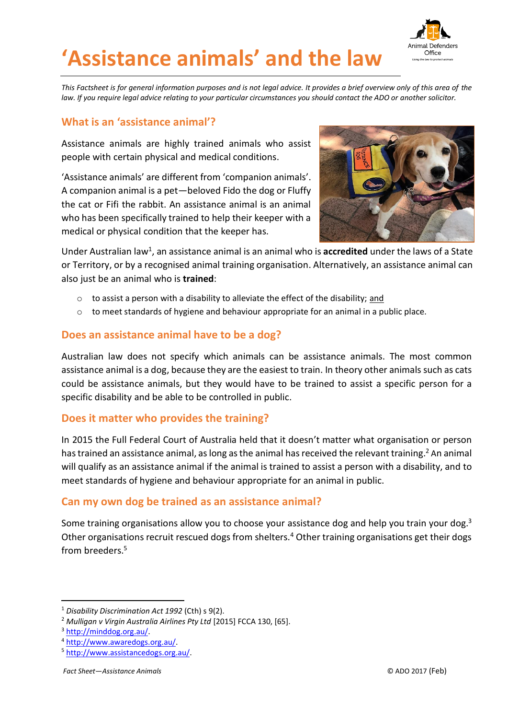



*This Factsheet is for general information purposes and is not legal advice. It provides a brief overview only of this area of the*  law. If you require legal advice relating to your particular circumstances you should contact the ADO or another solicitor.

## **What is an 'assistance animal'?**

Assistance animals are highly trained animals who assist people with certain physical and medical conditions.

'Assistance animals' are different from 'companion animals'. A companion animal is a pet—beloved Fido the dog or Fluffy the cat or Fifi the rabbit. An assistance animal is an animal who has been specifically trained to help their keeper with a medical or physical condition that the keeper has.



Under Australian law<sup>1</sup>, an assistance animal is an animal who is **accredited** under the laws of a State or Territory, or by a recognised animal training organisation. Alternatively, an assistance animal can also just be an animal who is **trained**:

- $\circ$  to assist a person with a disability to alleviate the effect of the disability; and
- $\circ$  to meet standards of hygiene and behaviour appropriate for an animal in a public place.

## **Does an assistance animal have to be a dog?**

Australian law does not specify which animals can be assistance animals. The most common assistance animal is a dog, because they are the easiest to train. In theory other animals such as cats could be assistance animals, but they would have to be trained to assist a specific person for a specific disability and be able to be controlled in public.

## **Does it matter who provides the training?**

In 2015 the Full Federal Court of Australia held that it doesn't matter what organisation or person has trained an assistance animal, as long as the animal has received the relevant training.<sup>2</sup> An animal will qualify as an assistance animal if the animal is trained to assist a person with a disability, and to meet standards of hygiene and behaviour appropriate for an animal in public.

## **Can my own dog be trained as an assistance animal?**

Some training organisations allow you to choose your assistance dog and help you train your dog.<sup>3</sup> Other organisations recruit rescued dogs from shelters.<sup>4</sup> Other training organisations get their dogs from breeders.<sup>5</sup>

-

<sup>1</sup> *Disability Discrimination Act 1992* (Cth) s 9(2).

<sup>2</sup> *Mulligan v Virgin Australia Airlines Pty Ltd* [2015] FCCA 130, [65].

<sup>3</sup> [http://minddog.org.au/.](http://minddog.org.au/)

<sup>4</sup> [http://www.awaredogs.org.au/.](http://www.awaredogs.org.au/)

<sup>5</sup> [http://www.assistancedogs.org.au/.](http://www.assistancedogs.org.au/)